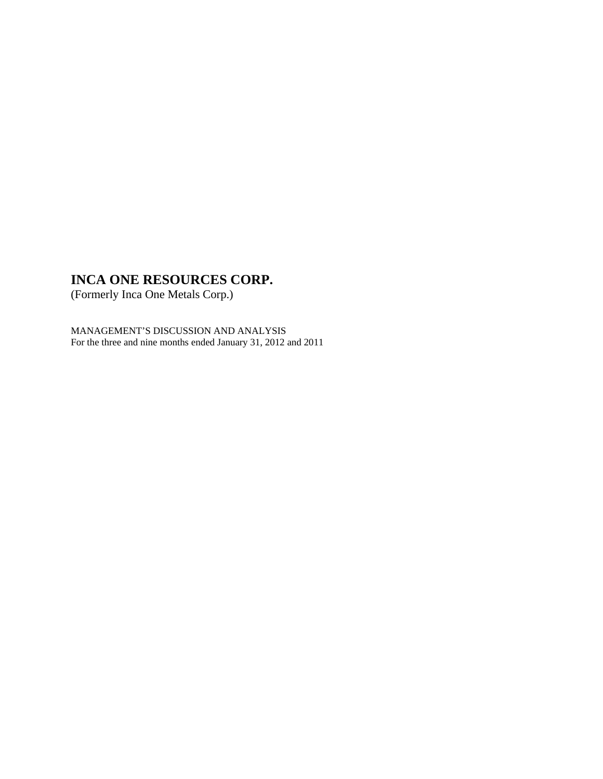(Formerly Inca One Metals Corp.)

MANAGEMENT'S DISCUSSION AND ANALYSIS For the three and nine months ended January 31, 2012 and 2011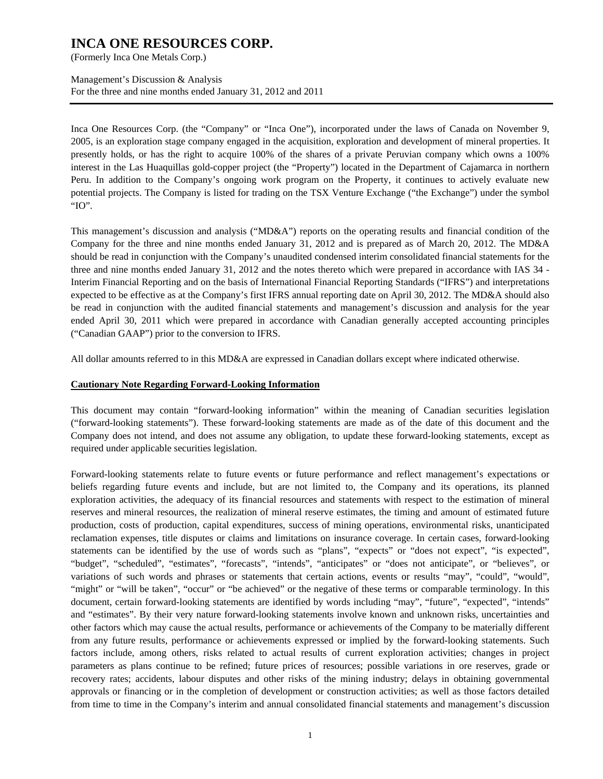(Formerly Inca One Metals Corp.)

Management's Discussion & Analysis For the three and nine months ended January 31, 2012 and 2011

Inca One Resources Corp. (the "Company" or "Inca One"), incorporated under the laws of Canada on November 9, 2005, is an exploration stage company engaged in the acquisition, exploration and development of mineral properties. It presently holds, or has the right to acquire 100% of the shares of a private Peruvian company which owns a 100% interest in the Las Huaquillas gold-copper project (the "Property") located in the Department of Cajamarca in northern Peru. In addition to the Company's ongoing work program on the Property, it continues to actively evaluate new potential projects. The Company is listed for trading on the TSX Venture Exchange ("the Exchange") under the symbol "IO".

This management's discussion and analysis ("MD&A") reports on the operating results and financial condition of the Company for the three and nine months ended January 31, 2012 and is prepared as of March 20, 2012. The MD&A should be read in conjunction with the Company's unaudited condensed interim consolidated financial statements for the three and nine months ended January 31, 2012 and the notes thereto which were prepared in accordance with IAS 34 - Interim Financial Reporting and on the basis of International Financial Reporting Standards ("IFRS") and interpretations expected to be effective as at the Company's first IFRS annual reporting date on April 30, 2012. The MD&A should also be read in conjunction with the audited financial statements and management's discussion and analysis for the year ended April 30, 2011 which were prepared in accordance with Canadian generally accepted accounting principles ("Canadian GAAP") prior to the conversion to IFRS.

All dollar amounts referred to in this MD&A are expressed in Canadian dollars except where indicated otherwise.

### **Cautionary Note Regarding Forward-Looking Information**

This document may contain "forward-looking information" within the meaning of Canadian securities legislation ("forward-looking statements"). These forward-looking statements are made as of the date of this document and the Company does not intend, and does not assume any obligation, to update these forward-looking statements, except as required under applicable securities legislation.

Forward-looking statements relate to future events or future performance and reflect management's expectations or beliefs regarding future events and include, but are not limited to, the Company and its operations, its planned exploration activities, the adequacy of its financial resources and statements with respect to the estimation of mineral reserves and mineral resources, the realization of mineral reserve estimates, the timing and amount of estimated future production, costs of production, capital expenditures, success of mining operations, environmental risks, unanticipated reclamation expenses, title disputes or claims and limitations on insurance coverage. In certain cases, forward-looking statements can be identified by the use of words such as "plans", "expects" or "does not expect", "is expected", "budget", "scheduled", "estimates", "forecasts", "intends", "anticipates" or "does not anticipate", or "believes", or variations of such words and phrases or statements that certain actions, events or results "may", "could", "would", "might" or "will be taken", "occur" or "be achieved" or the negative of these terms or comparable terminology. In this document, certain forward-looking statements are identified by words including "may", "future", "expected", "intends" and "estimates". By their very nature forward-looking statements involve known and unknown risks, uncertainties and other factors which may cause the actual results, performance or achievements of the Company to be materially different from any future results, performance or achievements expressed or implied by the forward-looking statements. Such factors include, among others, risks related to actual results of current exploration activities; changes in project parameters as plans continue to be refined; future prices of resources; possible variations in ore reserves, grade or recovery rates; accidents, labour disputes and other risks of the mining industry; delays in obtaining governmental approvals or financing or in the completion of development or construction activities; as well as those factors detailed from time to time in the Company's interim and annual consolidated financial statements and management's discussion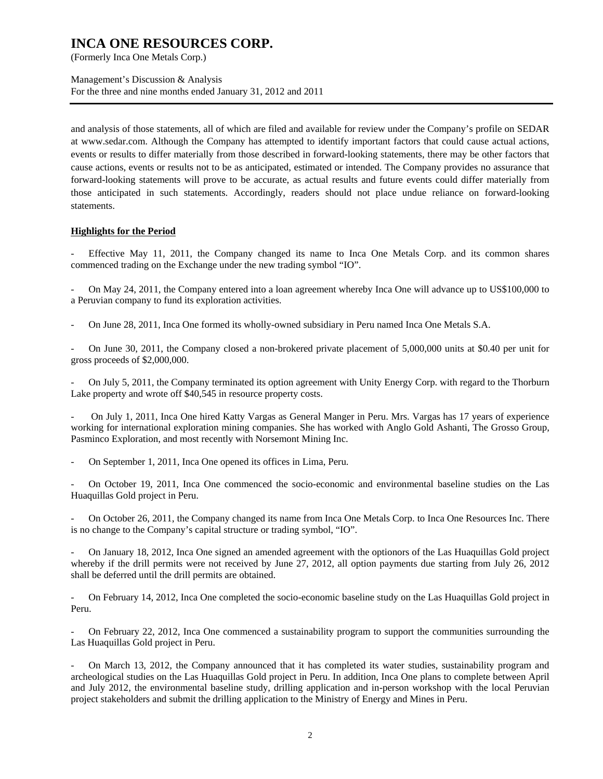(Formerly Inca One Metals Corp.)

Management's Discussion & Analysis For the three and nine months ended January 31, 2012 and 2011

and analysis of those statements, all of which are filed and available for review under the Company's profile on SEDAR at www.sedar.com. Although the Company has attempted to identify important factors that could cause actual actions, events or results to differ materially from those described in forward-looking statements, there may be other factors that cause actions, events or results not to be as anticipated, estimated or intended. The Company provides no assurance that forward-looking statements will prove to be accurate, as actual results and future events could differ materially from those anticipated in such statements. Accordingly, readers should not place undue reliance on forward-looking statements.

### **Highlights for the Period**

Effective May 11, 2011, the Company changed its name to Inca One Metals Corp. and its common shares commenced trading on the Exchange under the new trading symbol "IO".

- On May 24, 2011, the Company entered into a loan agreement whereby Inca One will advance up to US\$100,000 to a Peruvian company to fund its exploration activities.

- On June 28, 2011, Inca One formed its wholly-owned subsidiary in Peru named Inca One Metals S.A.

- On June 30, 2011, the Company closed a non-brokered private placement of 5,000,000 units at \$0.40 per unit for gross proceeds of \$2,000,000.

- On July 5, 2011, the Company terminated its option agreement with Unity Energy Corp. with regard to the Thorburn Lake property and wrote off \$40,545 in resource property costs.

- On July 1, 2011, Inca One hired Katty Vargas as General Manger in Peru. Mrs. Vargas has 17 years of experience working for international exploration mining companies. She has worked with Anglo Gold Ashanti, The Grosso Group, Pasminco Exploration, and most recently with Norsemont Mining Inc.

- On September 1, 2011, Inca One opened its offices in Lima, Peru.

- On October 19, 2011, Inca One commenced the socio-economic and environmental baseline studies on the Las Huaquillas Gold project in Peru.

- On October 26, 2011, the Company changed its name from Inca One Metals Corp. to Inca One Resources Inc. There is no change to the Company's capital structure or trading symbol, "IO".

- On January 18, 2012, Inca One signed an amended agreement with the optionors of the Las Huaquillas Gold project whereby if the drill permits were not received by June 27, 2012, all option payments due starting from July 26, 2012 shall be deferred until the drill permits are obtained.

- On February 14, 2012, Inca One completed the socio-economic baseline study on the Las Huaquillas Gold project in Peru.

- On February 22, 2012, Inca One commenced a sustainability program to support the communities surrounding the Las Huaquillas Gold project in Peru.

- On March 13, 2012, the Company announced that it has completed its water studies, sustainability program and archeological studies on the Las Huaquillas Gold project in Peru. In addition, Inca One plans to complete between April and July 2012, the environmental baseline study, drilling application and in-person workshop with the local Peruvian project stakeholders and submit the drilling application to the Ministry of Energy and Mines in Peru.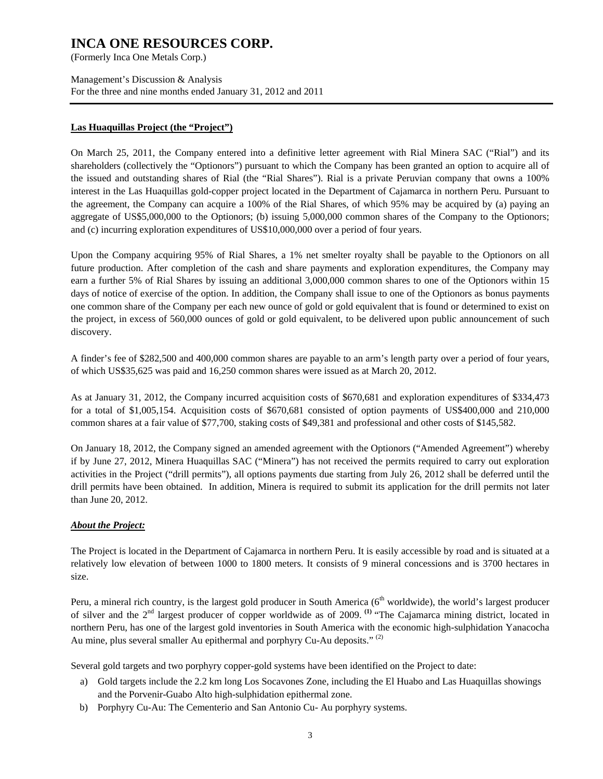(Formerly Inca One Metals Corp.)

Management's Discussion & Analysis For the three and nine months ended January 31, 2012 and 2011

### **Las Huaquillas Project (the "Project")**

On March 25, 2011, the Company entered into a definitive letter agreement with Rial Minera SAC ("Rial") and its shareholders (collectively the "Optionors") pursuant to which the Company has been granted an option to acquire all of the issued and outstanding shares of Rial (the "Rial Shares"). Rial is a private Peruvian company that owns a 100% interest in the Las Huaquillas gold-copper project located in the Department of Cajamarca in northern Peru. Pursuant to the agreement, the Company can acquire a 100% of the Rial Shares, of which 95% may be acquired by (a) paying an aggregate of US\$5,000,000 to the Optionors; (b) issuing 5,000,000 common shares of the Company to the Optionors; and (c) incurring exploration expenditures of US\$10,000,000 over a period of four years.

Upon the Company acquiring 95% of Rial Shares, a 1% net smelter royalty shall be payable to the Optionors on all future production. After completion of the cash and share payments and exploration expenditures, the Company may earn a further 5% of Rial Shares by issuing an additional 3,000,000 common shares to one of the Optionors within 15 days of notice of exercise of the option. In addition, the Company shall issue to one of the Optionors as bonus payments one common share of the Company per each new ounce of gold or gold equivalent that is found or determined to exist on the project, in excess of 560,000 ounces of gold or gold equivalent, to be delivered upon public announcement of such discovery.

A finder's fee of \$282,500 and 400,000 common shares are payable to an arm's length party over a period of four years, of which US\$35,625 was paid and 16,250 common shares were issued as at March 20, 2012.

As at January 31, 2012, the Company incurred acquisition costs of \$670,681 and exploration expenditures of \$334,473 for a total of \$1,005,154. Acquisition costs of \$670,681 consisted of option payments of US\$400,000 and 210,000 common shares at a fair value of \$77,700, staking costs of \$49,381 and professional and other costs of \$145,582.

On January 18, 2012, the Company signed an amended agreement with the Optionors ("Amended Agreement") whereby if by June 27, 2012, Minera Huaquillas SAC ("Minera") has not received the permits required to carry out exploration activities in the Project ("drill permits"), all options payments due starting from July 26, 2012 shall be deferred until the drill permits have been obtained. In addition, Minera is required to submit its application for the drill permits not later than June 20, 2012.

### *About the Project:*

The Project is located in the Department of Cajamarca in northern Peru. It is easily accessible by road and is situated at a relatively low elevation of between 1000 to 1800 meters. It consists of 9 mineral concessions and is 3700 hectares in size.

Peru, a mineral rich country, is the largest gold producer in South America ( $6<sup>th</sup>$  worldwide), the world's largest producer of silver and the 2nd largest producer of copper worldwide as of 2009. **(1)** "The Cajamarca mining district, located in northern Peru, has one of the largest gold inventories in South America with the economic high-sulphidation Yanacocha Au mine, plus several smaller Au epithermal and porphyry Cu-Au deposits."  $(2)$ 

Several gold targets and two porphyry copper-gold systems have been identified on the Project to date:

- a) Gold targets include the 2.2 km long Los Socavones Zone, including the El Huabo and Las Huaquillas showings and the Porvenir-Guabo Alto high-sulphidation epithermal zone.
- b) Porphyry Cu-Au: The Cementerio and San Antonio Cu- Au porphyry systems.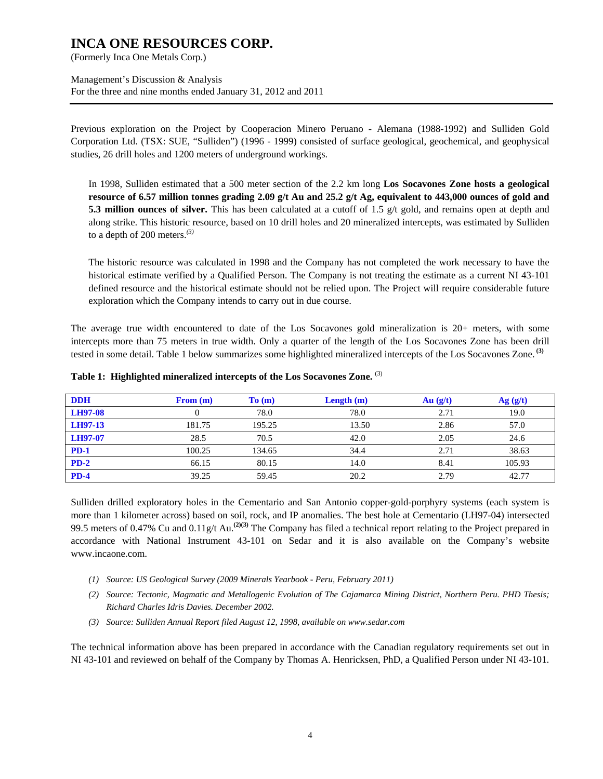(Formerly Inca One Metals Corp.)

Management's Discussion & Analysis For the three and nine months ended January 31, 2012 and 2011

Previous exploration on the Project by Cooperacion Minero Peruano - Alemana (1988-1992) and Sulliden Gold Corporation Ltd. (TSX: SUE, "Sulliden") (1996 - 1999) consisted of surface geological, geochemical, and geophysical studies, 26 drill holes and 1200 meters of underground workings.

In 1998, Sulliden estimated that a 500 meter section of the 2.2 km long **Los Socavones Zone hosts a geological resource of 6.57 million tonnes grading 2.09 g/t Au and 25.2 g/t Ag, equivalent to 443,000 ounces of gold and 5.3 million ounces of silver.** This has been calculated at a cutoff of 1.5 g/t gold, and remains open at depth and along strike. This historic resource, based on 10 drill holes and 20 mineralized intercepts, was estimated by Sulliden to a depth of 200 meters.*(3)* 

The historic resource was calculated in 1998 and the Company has not completed the work necessary to have the historical estimate verified by a Qualified Person. The Company is not treating the estimate as a current NI 43-101 defined resource and the historical estimate should not be relied upon. The Project will require considerable future exploration which the Company intends to carry out in due course.

The average true width encountered to date of the Los Socavones gold mineralization is 20+ meters, with some intercepts more than 75 meters in true width. Only a quarter of the length of the Los Socavones Zone has been drill tested in some detail. Table 1 below summarizes some highlighted mineralized intercepts of the Los Socavones Zone. **(3)**

| <b>DDH</b>     | From (m) | To(m)  | Length $(m)$ | Au(g/t) | Ag(g/t) |
|----------------|----------|--------|--------------|---------|---------|
| <b>LH97-08</b> |          | 78.0   | 78.0         | 2.71    | 19.0    |
| LH97-13        | 181.75   | 195.25 | 13.50        | 2.86    | 57.0    |
| LH97-07        | 28.5     | 70.5   | 42.0         | 2.05    | 24.6    |
| $PD-1$         | 100.25   | 134.65 | 34.4         | 2.71    | 38.63   |
| $PD-2$         | 66.15    | 80.15  | 14.0         | 8.41    | 105.93  |
| $PD-4$         | 39.25    | 59.45  | 20.2         | 2.79    | 42.77   |

### **Table 1: Highlighted mineralized intercepts of the Los Socavones Zone.** (3)

Sulliden drilled exploratory holes in the Cementario and San Antonio copper-gold-porphyry systems (each system is more than 1 kilometer across) based on soil, rock, and IP anomalies. The best hole at Cementario (LH97-04) intersected 99.5 meters of 0.47% Cu and 0.11g/t Au.**(2)(3)** The Company has filed a technical report relating to the Project prepared in accordance with National Instrument 43-101 on Sedar and it is also available on the Company's website www.incaone.com.

- *(1) Source: US Geological Survey (2009 Minerals Yearbook Peru, February 2011)*
- *(2) Source: Tectonic, Magmatic and Metallogenic Evolution of The Cajamarca Mining District, Northern Peru. PHD Thesis; Richard Charles Idris Davies. December 2002.*
- *(3) Source: Sulliden Annual Report filed August 12, 1998, available on www.sedar.com*

The technical information above has been prepared in accordance with the Canadian regulatory requirements set out in NI 43-101 and reviewed on behalf of the Company by Thomas A. Henricksen, PhD, a Qualified Person under NI 43-101.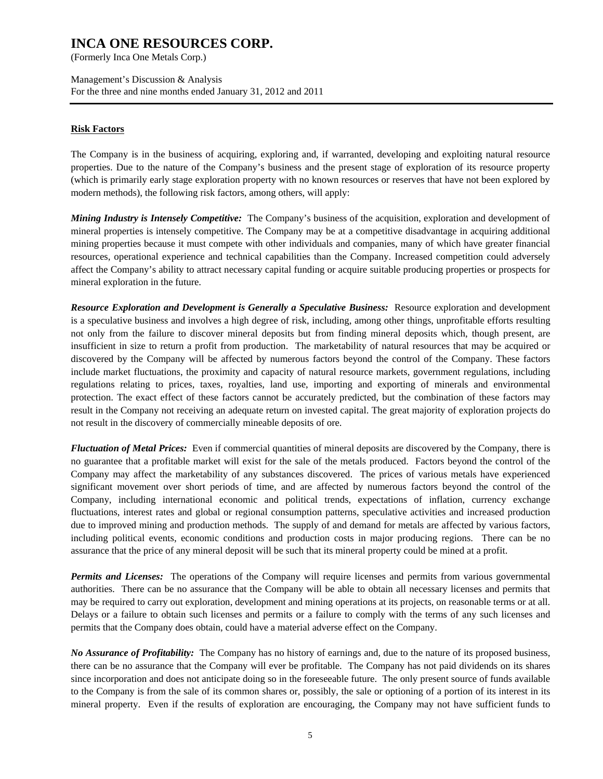(Formerly Inca One Metals Corp.)

Management's Discussion & Analysis For the three and nine months ended January 31, 2012 and 2011

### **Risk Factors**

The Company is in the business of acquiring, exploring and, if warranted, developing and exploiting natural resource properties. Due to the nature of the Company's business and the present stage of exploration of its resource property (which is primarily early stage exploration property with no known resources or reserves that have not been explored by modern methods), the following risk factors, among others, will apply:

*Mining Industry is Intensely Competitive:* The Company's business of the acquisition, exploration and development of mineral properties is intensely competitive. The Company may be at a competitive disadvantage in acquiring additional mining properties because it must compete with other individuals and companies, many of which have greater financial resources, operational experience and technical capabilities than the Company. Increased competition could adversely affect the Company's ability to attract necessary capital funding or acquire suitable producing properties or prospects for mineral exploration in the future.

*Resource Exploration and Development is Generally a Speculative Business:* Resource exploration and development is a speculative business and involves a high degree of risk, including, among other things, unprofitable efforts resulting not only from the failure to discover mineral deposits but from finding mineral deposits which, though present, are insufficient in size to return a profit from production. The marketability of natural resources that may be acquired or discovered by the Company will be affected by numerous factors beyond the control of the Company. These factors include market fluctuations, the proximity and capacity of natural resource markets, government regulations, including regulations relating to prices, taxes, royalties, land use, importing and exporting of minerals and environmental protection. The exact effect of these factors cannot be accurately predicted, but the combination of these factors may result in the Company not receiving an adequate return on invested capital. The great majority of exploration projects do not result in the discovery of commercially mineable deposits of ore.

*Fluctuation of Metal Prices:* Even if commercial quantities of mineral deposits are discovered by the Company, there is no guarantee that a profitable market will exist for the sale of the metals produced. Factors beyond the control of the Company may affect the marketability of any substances discovered. The prices of various metals have experienced significant movement over short periods of time, and are affected by numerous factors beyond the control of the Company, including international economic and political trends, expectations of inflation, currency exchange fluctuations, interest rates and global or regional consumption patterns, speculative activities and increased production due to improved mining and production methods. The supply of and demand for metals are affected by various factors, including political events, economic conditions and production costs in major producing regions. There can be no assurance that the price of any mineral deposit will be such that its mineral property could be mined at a profit.

*Permits and Licenses:* The operations of the Company will require licenses and permits from various governmental authorities. There can be no assurance that the Company will be able to obtain all necessary licenses and permits that may be required to carry out exploration, development and mining operations at its projects, on reasonable terms or at all. Delays or a failure to obtain such licenses and permits or a failure to comply with the terms of any such licenses and permits that the Company does obtain, could have a material adverse effect on the Company.

*No Assurance of Profitability:* The Company has no history of earnings and, due to the nature of its proposed business, there can be no assurance that the Company will ever be profitable. The Company has not paid dividends on its shares since incorporation and does not anticipate doing so in the foreseeable future. The only present source of funds available to the Company is from the sale of its common shares or, possibly, the sale or optioning of a portion of its interest in its mineral property. Even if the results of exploration are encouraging, the Company may not have sufficient funds to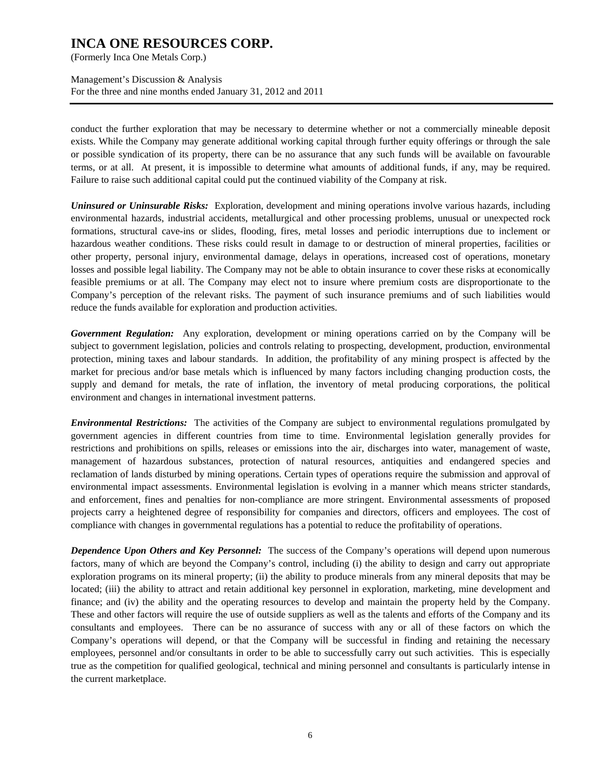(Formerly Inca One Metals Corp.)

Management's Discussion & Analysis For the three and nine months ended January 31, 2012 and 2011

conduct the further exploration that may be necessary to determine whether or not a commercially mineable deposit exists. While the Company may generate additional working capital through further equity offerings or through the sale or possible syndication of its property, there can be no assurance that any such funds will be available on favourable terms, or at all. At present, it is impossible to determine what amounts of additional funds, if any, may be required. Failure to raise such additional capital could put the continued viability of the Company at risk.

*Uninsured or Uninsurable Risks:* Exploration, development and mining operations involve various hazards, including environmental hazards, industrial accidents, metallurgical and other processing problems, unusual or unexpected rock formations, structural cave-ins or slides, flooding, fires, metal losses and periodic interruptions due to inclement or hazardous weather conditions. These risks could result in damage to or destruction of mineral properties, facilities or other property, personal injury, environmental damage, delays in operations, increased cost of operations, monetary losses and possible legal liability. The Company may not be able to obtain insurance to cover these risks at economically feasible premiums or at all. The Company may elect not to insure where premium costs are disproportionate to the Company's perception of the relevant risks. The payment of such insurance premiums and of such liabilities would reduce the funds available for exploration and production activities.

*Government Regulation:* Any exploration, development or mining operations carried on by the Company will be subject to government legislation, policies and controls relating to prospecting, development, production, environmental protection, mining taxes and labour standards. In addition, the profitability of any mining prospect is affected by the market for precious and/or base metals which is influenced by many factors including changing production costs, the supply and demand for metals, the rate of inflation, the inventory of metal producing corporations, the political environment and changes in international investment patterns.

*Environmental Restrictions:* The activities of the Company are subject to environmental regulations promulgated by government agencies in different countries from time to time. Environmental legislation generally provides for restrictions and prohibitions on spills, releases or emissions into the air, discharges into water, management of waste, management of hazardous substances, protection of natural resources, antiquities and endangered species and reclamation of lands disturbed by mining operations. Certain types of operations require the submission and approval of environmental impact assessments. Environmental legislation is evolving in a manner which means stricter standards, and enforcement, fines and penalties for non-compliance are more stringent. Environmental assessments of proposed projects carry a heightened degree of responsibility for companies and directors, officers and employees. The cost of compliance with changes in governmental regulations has a potential to reduce the profitability of operations.

*Dependence Upon Others and Key Personnel:* The success of the Company's operations will depend upon numerous factors, many of which are beyond the Company's control, including (i) the ability to design and carry out appropriate exploration programs on its mineral property; (ii) the ability to produce minerals from any mineral deposits that may be located; (iii) the ability to attract and retain additional key personnel in exploration, marketing, mine development and finance; and (iv) the ability and the operating resources to develop and maintain the property held by the Company. These and other factors will require the use of outside suppliers as well as the talents and efforts of the Company and its consultants and employees. There can be no assurance of success with any or all of these factors on which the Company's operations will depend, or that the Company will be successful in finding and retaining the necessary employees, personnel and/or consultants in order to be able to successfully carry out such activities. This is especially true as the competition for qualified geological, technical and mining personnel and consultants is particularly intense in the current marketplace.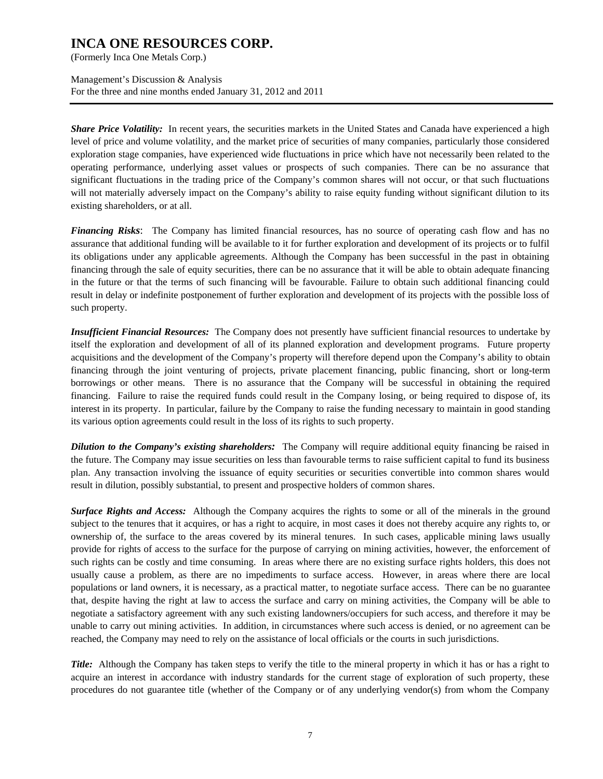(Formerly Inca One Metals Corp.)

Management's Discussion & Analysis For the three and nine months ended January 31, 2012 and 2011

*Share Price Volatility:* In recent years, the securities markets in the United States and Canada have experienced a high level of price and volume volatility, and the market price of securities of many companies, particularly those considered exploration stage companies, have experienced wide fluctuations in price which have not necessarily been related to the operating performance, underlying asset values or prospects of such companies. There can be no assurance that significant fluctuations in the trading price of the Company's common shares will not occur, or that such fluctuations will not materially adversely impact on the Company's ability to raise equity funding without significant dilution to its existing shareholders, or at all.

*Financing Risks*: The Company has limited financial resources, has no source of operating cash flow and has no assurance that additional funding will be available to it for further exploration and development of its projects or to fulfil its obligations under any applicable agreements. Although the Company has been successful in the past in obtaining financing through the sale of equity securities, there can be no assurance that it will be able to obtain adequate financing in the future or that the terms of such financing will be favourable. Failure to obtain such additional financing could result in delay or indefinite postponement of further exploration and development of its projects with the possible loss of such property.

*Insufficient Financial Resources:* The Company does not presently have sufficient financial resources to undertake by itself the exploration and development of all of its planned exploration and development programs. Future property acquisitions and the development of the Company's property will therefore depend upon the Company's ability to obtain financing through the joint venturing of projects, private placement financing, public financing, short or long-term borrowings or other means. There is no assurance that the Company will be successful in obtaining the required financing. Failure to raise the required funds could result in the Company losing, or being required to dispose of, its interest in its property. In particular, failure by the Company to raise the funding necessary to maintain in good standing its various option agreements could result in the loss of its rights to such property.

*Dilution to the Company's existing shareholders:* The Company will require additional equity financing be raised in the future. The Company may issue securities on less than favourable terms to raise sufficient capital to fund its business plan. Any transaction involving the issuance of equity securities or securities convertible into common shares would result in dilution, possibly substantial, to present and prospective holders of common shares.

*Surface Rights and Access:* Although the Company acquires the rights to some or all of the minerals in the ground subject to the tenures that it acquires, or has a right to acquire, in most cases it does not thereby acquire any rights to, or ownership of, the surface to the areas covered by its mineral tenures. In such cases, applicable mining laws usually provide for rights of access to the surface for the purpose of carrying on mining activities, however, the enforcement of such rights can be costly and time consuming. In areas where there are no existing surface rights holders, this does not usually cause a problem, as there are no impediments to surface access. However, in areas where there are local populations or land owners, it is necessary, as a practical matter, to negotiate surface access. There can be no guarantee that, despite having the right at law to access the surface and carry on mining activities, the Company will be able to negotiate a satisfactory agreement with any such existing landowners/occupiers for such access, and therefore it may be unable to carry out mining activities. In addition, in circumstances where such access is denied, or no agreement can be reached, the Company may need to rely on the assistance of local officials or the courts in such jurisdictions.

*Title:* Although the Company has taken steps to verify the title to the mineral property in which it has or has a right to acquire an interest in accordance with industry standards for the current stage of exploration of such property, these procedures do not guarantee title (whether of the Company or of any underlying vendor(s) from whom the Company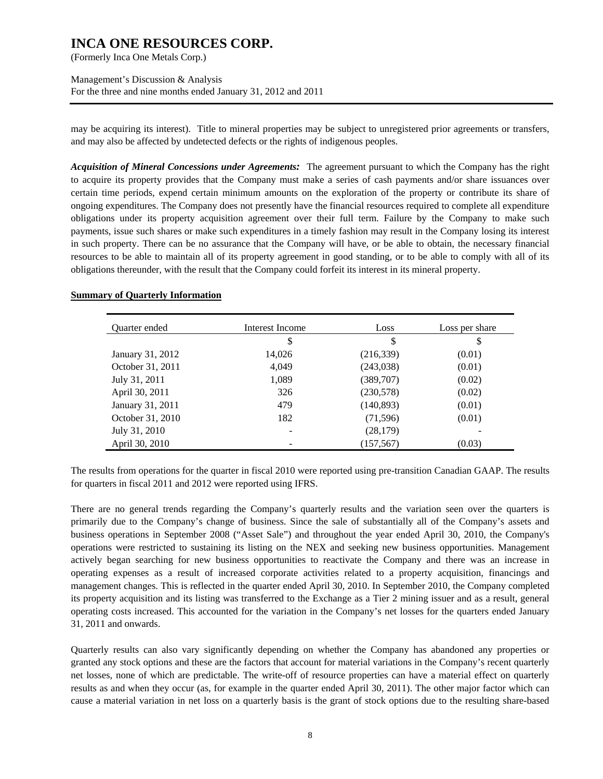(Formerly Inca One Metals Corp.)

Management's Discussion & Analysis For the three and nine months ended January 31, 2012 and 2011

may be acquiring its interest). Title to mineral properties may be subject to unregistered prior agreements or transfers, and may also be affected by undetected defects or the rights of indigenous peoples.

*Acquisition of Mineral Concessions under Agreements:* The agreement pursuant to which the Company has the right to acquire its property provides that the Company must make a series of cash payments and/or share issuances over certain time periods, expend certain minimum amounts on the exploration of the property or contribute its share of ongoing expenditures. The Company does not presently have the financial resources required to complete all expenditure obligations under its property acquisition agreement over their full term. Failure by the Company to make such payments, issue such shares or make such expenditures in a timely fashion may result in the Company losing its interest in such property. There can be no assurance that the Company will have, or be able to obtain, the necessary financial resources to be able to maintain all of its property agreement in good standing, or to be able to comply with all of its obligations thereunder, with the result that the Company could forfeit its interest in its mineral property.

#### **Summary of Quarterly Information**

| Quarter ended    | Interest Income | Loss       | Loss per share |
|------------------|-----------------|------------|----------------|
|                  | \$              | \$         | \$             |
| January 31, 2012 | 14,026          | (216,339)  | (0.01)         |
| October 31, 2011 | 4,049           | (243,038)  | (0.01)         |
| July 31, 2011    | 1,089           | (389,707)  | (0.02)         |
| April 30, 2011   | 326             | (230,578)  | (0.02)         |
| January 31, 2011 | 479             | (140, 893) | (0.01)         |
| October 31, 2010 | 182             | (71, 596)  | (0.01)         |
| July 31, 2010    |                 | (28, 179)  |                |
| April 30, 2010   |                 | (157, 567) | (0.03)         |

The results from operations for the quarter in fiscal 2010 were reported using pre-transition Canadian GAAP. The results for quarters in fiscal 2011 and 2012 were reported using IFRS.

There are no general trends regarding the Company's quarterly results and the variation seen over the quarters is primarily due to the Company's change of business. Since the sale of substantially all of the Company's assets and business operations in September 2008 ("Asset Sale") and throughout the year ended April 30, 2010, the Company's operations were restricted to sustaining its listing on the NEX and seeking new business opportunities. Management actively began searching for new business opportunities to reactivate the Company and there was an increase in operating expenses as a result of increased corporate activities related to a property acquisition, financings and management changes. This is reflected in the quarter ended April 30, 2010. In September 2010, the Company completed its property acquisition and its listing was transferred to the Exchange as a Tier 2 mining issuer and as a result, general operating costs increased. This accounted for the variation in the Company's net losses for the quarters ended January 31, 2011 and onwards.

Quarterly results can also vary significantly depending on whether the Company has abandoned any properties or granted any stock options and these are the factors that account for material variations in the Company's recent quarterly net losses, none of which are predictable. The write-off of resource properties can have a material effect on quarterly results as and when they occur (as, for example in the quarter ended April 30, 2011). The other major factor which can cause a material variation in net loss on a quarterly basis is the grant of stock options due to the resulting share-based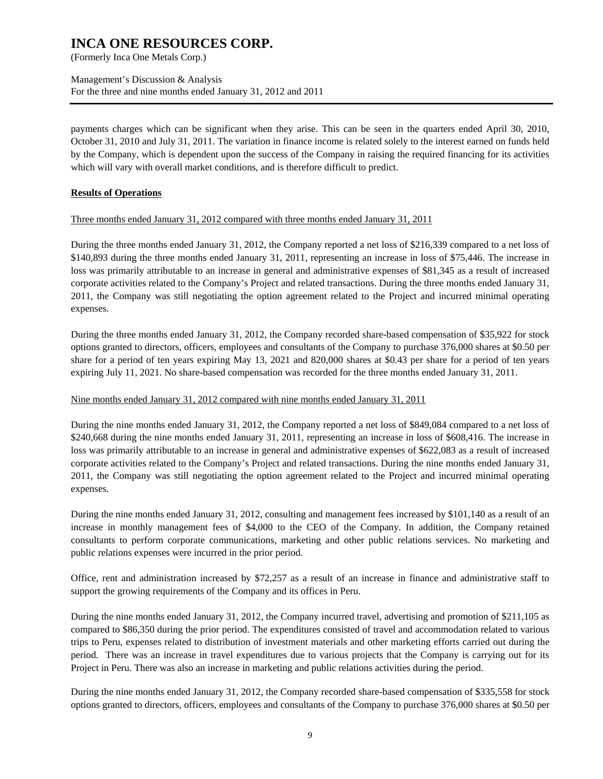(Formerly Inca One Metals Corp.)

Management's Discussion & Analysis For the three and nine months ended January 31, 2012 and 2011

payments charges which can be significant when they arise. This can be seen in the quarters ended April 30, 2010, October 31, 2010 and July 31, 2011. The variation in finance income is related solely to the interest earned on funds held by the Company, which is dependent upon the success of the Company in raising the required financing for its activities which will vary with overall market conditions, and is therefore difficult to predict.

### **Results of Operations**

### Three months ended January 31, 2012 compared with three months ended January 31, 2011

During the three months ended January 31, 2012, the Company reported a net loss of \$216,339 compared to a net loss of \$140,893 during the three months ended January 31, 2011, representing an increase in loss of \$75,446. The increase in loss was primarily attributable to an increase in general and administrative expenses of \$81,345 as a result of increased corporate activities related to the Company's Project and related transactions. During the three months ended January 31, 2011, the Company was still negotiating the option agreement related to the Project and incurred minimal operating expenses.

During the three months ended January 31, 2012, the Company recorded share-based compensation of \$35,922 for stock options granted to directors, officers, employees and consultants of the Company to purchase 376,000 shares at \$0.50 per share for a period of ten years expiring May 13, 2021 and 820,000 shares at \$0.43 per share for a period of ten years expiring July 11, 2021. No share-based compensation was recorded for the three months ended January 31, 2011.

### Nine months ended January 31, 2012 compared with nine months ended January 31, 2011

During the nine months ended January 31, 2012, the Company reported a net loss of \$849,084 compared to a net loss of \$240,668 during the nine months ended January 31, 2011, representing an increase in loss of \$608,416. The increase in loss was primarily attributable to an increase in general and administrative expenses of \$622,083 as a result of increased corporate activities related to the Company's Project and related transactions. During the nine months ended January 31, 2011, the Company was still negotiating the option agreement related to the Project and incurred minimal operating expenses.

During the nine months ended January 31, 2012, consulting and management fees increased by \$101,140 as a result of an increase in monthly management fees of \$4,000 to the CEO of the Company. In addition, the Company retained consultants to perform corporate communications, marketing and other public relations services. No marketing and public relations expenses were incurred in the prior period.

Office, rent and administration increased by \$72,257 as a result of an increase in finance and administrative staff to support the growing requirements of the Company and its offices in Peru.

During the nine months ended January 31, 2012, the Company incurred travel, advertising and promotion of \$211,105 as compared to \$86,350 during the prior period. The expenditures consisted of travel and accommodation related to various trips to Peru, expenses related to distribution of investment materials and other marketing efforts carried out during the period. There was an increase in travel expenditures due to various projects that the Company is carrying out for its Project in Peru. There was also an increase in marketing and public relations activities during the period.

During the nine months ended January 31, 2012, the Company recorded share-based compensation of \$335,558 for stock options granted to directors, officers, employees and consultants of the Company to purchase 376,000 shares at \$0.50 per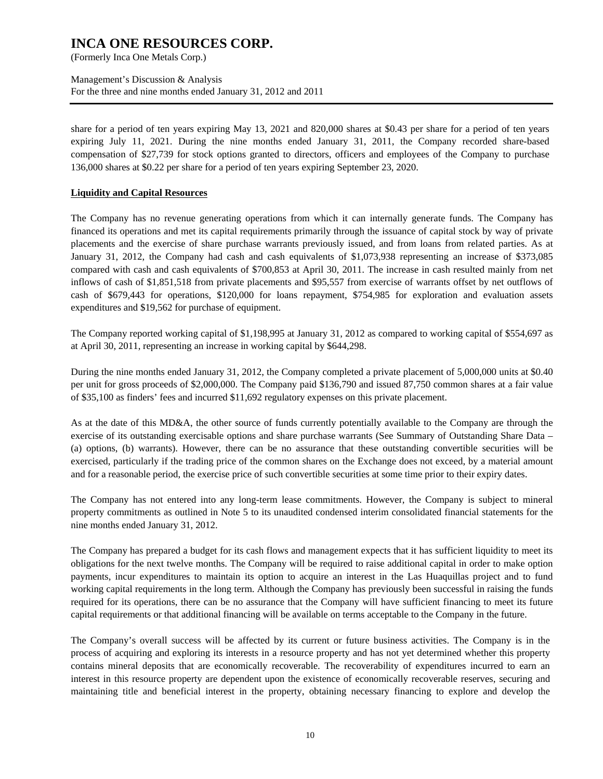(Formerly Inca One Metals Corp.)

Management's Discussion & Analysis For the three and nine months ended January 31, 2012 and 2011

share for a period of ten years expiring May 13, 2021 and 820,000 shares at \$0.43 per share for a period of ten years expiring July 11, 2021. During the nine months ended January 31, 2011, the Company recorded share-based compensation of \$27,739 for stock options granted to directors, officers and employees of the Company to purchase 136,000 shares at \$0.22 per share for a period of ten years expiring September 23, 2020.

### **Liquidity and Capital Resources**

The Company has no revenue generating operations from which it can internally generate funds. The Company has financed its operations and met its capital requirements primarily through the issuance of capital stock by way of private placements and the exercise of share purchase warrants previously issued, and from loans from related parties. As at January 31, 2012, the Company had cash and cash equivalents of \$1,073,938 representing an increase of \$373,085 compared with cash and cash equivalents of \$700,853 at April 30, 2011. The increase in cash resulted mainly from net inflows of cash of \$1,851,518 from private placements and \$95,557 from exercise of warrants offset by net outflows of cash of \$679,443 for operations, \$120,000 for loans repayment, \$754,985 for exploration and evaluation assets expenditures and \$19,562 for purchase of equipment.

The Company reported working capital of \$1,198,995 at January 31, 2012 as compared to working capital of \$554,697 as at April 30, 2011, representing an increase in working capital by \$644,298.

During the nine months ended January 31, 2012, the Company completed a private placement of 5,000,000 units at \$0.40 per unit for gross proceeds of \$2,000,000. The Company paid \$136,790 and issued 87,750 common shares at a fair value of \$35,100 as finders' fees and incurred \$11,692 regulatory expenses on this private placement.

As at the date of this MD&A, the other source of funds currently potentially available to the Company are through the exercise of its outstanding exercisable options and share purchase warrants (See Summary of Outstanding Share Data – (a) options, (b) warrants). However, there can be no assurance that these outstanding convertible securities will be exercised, particularly if the trading price of the common shares on the Exchange does not exceed, by a material amount and for a reasonable period, the exercise price of such convertible securities at some time prior to their expiry dates.

The Company has not entered into any long-term lease commitments. However, the Company is subject to mineral property commitments as outlined in Note 5 to its unaudited condensed interim consolidated financial statements for the nine months ended January 31, 2012.

The Company has prepared a budget for its cash flows and management expects that it has sufficient liquidity to meet its obligations for the next twelve months. The Company will be required to raise additional capital in order to make option payments, incur expenditures to maintain its option to acquire an interest in the Las Huaquillas project and to fund working capital requirements in the long term. Although the Company has previously been successful in raising the funds required for its operations, there can be no assurance that the Company will have sufficient financing to meet its future capital requirements or that additional financing will be available on terms acceptable to the Company in the future.

The Company's overall success will be affected by its current or future business activities. The Company is in the process of acquiring and exploring its interests in a resource property and has not yet determined whether this property contains mineral deposits that are economically recoverable. The recoverability of expenditures incurred to earn an interest in this resource property are dependent upon the existence of economically recoverable reserves, securing and maintaining title and beneficial interest in the property, obtaining necessary financing to explore and develop the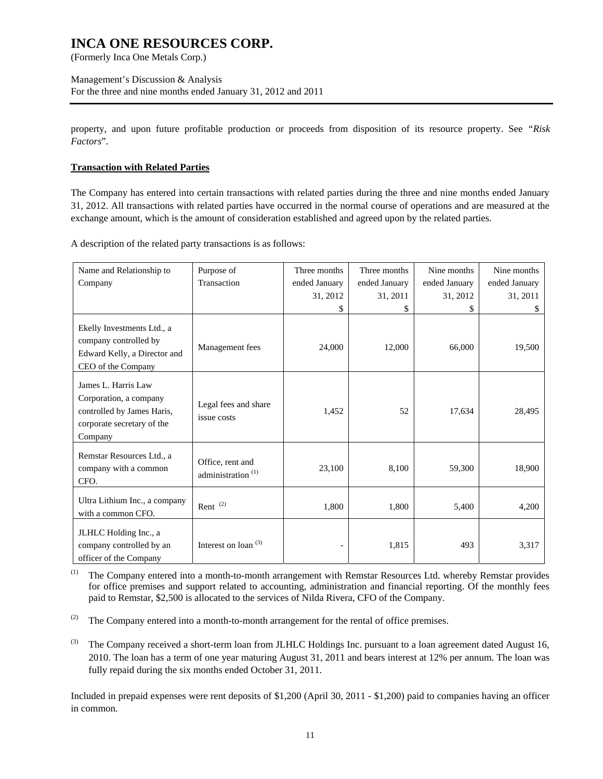(Formerly Inca One Metals Corp.)

Management's Discussion & Analysis For the three and nine months ended January 31, 2012 and 2011

property, and upon future profitable production or proceeds from disposition of its resource property. See *"Risk Factors*".

### **Transaction with Related Parties**

The Company has entered into certain transactions with related parties during the three and nine months ended January 31, 2012. All transactions with related parties have occurred in the normal course of operations and are measured at the exchange amount, which is the amount of consideration established and agreed upon by the related parties.

A description of the related party transactions is as follows:

| Name and Relationship to                                                                                             | Purpose of                                        | Three months  | Three months  | Nine months   | Nine months   |
|----------------------------------------------------------------------------------------------------------------------|---------------------------------------------------|---------------|---------------|---------------|---------------|
| Company                                                                                                              | Transaction                                       | ended January | ended January | ended January | ended January |
|                                                                                                                      |                                                   | 31, 2012      | 31, 2011      | 31, 2012      | 31, 2011      |
|                                                                                                                      |                                                   | \$            | \$            | \$            | S.            |
| Ekelly Investments Ltd., a<br>company controlled by<br>Edward Kelly, a Director and<br>CEO of the Company            | Management fees                                   | 24,000        | 12,000        | 66,000        | 19,500        |
| James L. Harris Law<br>Corporation, a company<br>controlled by James Haris,<br>corporate secretary of the<br>Company | Legal fees and share<br>issue costs               | 1,452         | 52            | 17,634        | 28,495        |
| Remstar Resources Ltd., a<br>company with a common<br>CFO.                                                           | Office, rent and<br>administration <sup>(1)</sup> | 23,100        | 8,100         | 59,300        | 18,900        |
| Ultra Lithium Inc., a company<br>with a common CFO.                                                                  | Rent <sup>(2)</sup>                               | 1,800         | 1,800         | 5,400         | 4,200         |
| JLHLC Holding Inc., a<br>company controlled by an<br>officer of the Company                                          | Interest on loan $(3)$                            |               | 1,815         | 493           | 3,317         |

(1) The Company entered into a month-to-month arrangement with Remstar Resources Ltd. whereby Remstar provides for office premises and support related to accounting, administration and financial reporting. Of the monthly fees paid to Remstar, \$2,500 is allocated to the services of Nilda Rivera, CFO of the Company.

(2) The Company entered into a month-to-month arrangement for the rental of office premises.

(3) The Company received a short-term loan from JLHLC Holdings Inc. pursuant to a loan agreement dated August 16, 2010. The loan has a term of one year maturing August 31, 2011 and bears interest at 12% per annum. The loan was fully repaid during the six months ended October 31, 2011.

Included in prepaid expenses were rent deposits of \$1,200 (April 30, 2011 - \$1,200) paid to companies having an officer in common.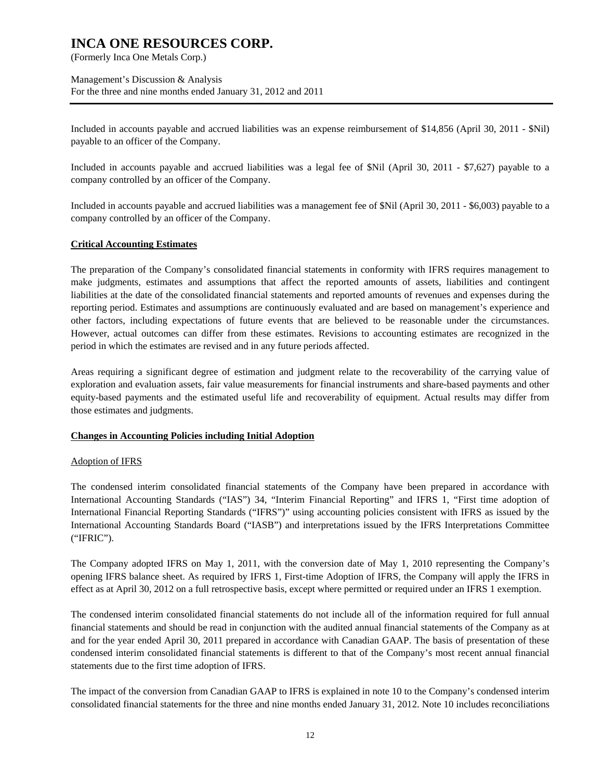(Formerly Inca One Metals Corp.)

Management's Discussion & Analysis For the three and nine months ended January 31, 2012 and 2011

Included in accounts payable and accrued liabilities was an expense reimbursement of \$14,856 (April 30, 2011 - \$Nil) payable to an officer of the Company.

Included in accounts payable and accrued liabilities was a legal fee of \$Nil (April 30, 2011 - \$7,627) payable to a company controlled by an officer of the Company.

Included in accounts payable and accrued liabilities was a management fee of \$Nil (April 30, 2011 - \$6,003) payable to a company controlled by an officer of the Company.

### **Critical Accounting Estimates**

The preparation of the Company's consolidated financial statements in conformity with IFRS requires management to make judgments, estimates and assumptions that affect the reported amounts of assets, liabilities and contingent liabilities at the date of the consolidated financial statements and reported amounts of revenues and expenses during the reporting period. Estimates and assumptions are continuously evaluated and are based on management's experience and other factors, including expectations of future events that are believed to be reasonable under the circumstances. However, actual outcomes can differ from these estimates. Revisions to accounting estimates are recognized in the period in which the estimates are revised and in any future periods affected.

Areas requiring a significant degree of estimation and judgment relate to the recoverability of the carrying value of exploration and evaluation assets, fair value measurements for financial instruments and share-based payments and other equity-based payments and the estimated useful life and recoverability of equipment. Actual results may differ from those estimates and judgments.

### **Changes in Accounting Policies including Initial Adoption**

#### Adoption of IFRS

The condensed interim consolidated financial statements of the Company have been prepared in accordance with International Accounting Standards ("IAS") 34, "Interim Financial Reporting" and IFRS 1, "First time adoption of International Financial Reporting Standards ("IFRS")" using accounting policies consistent with IFRS as issued by the International Accounting Standards Board ("IASB") and interpretations issued by the IFRS Interpretations Committee ("IFRIC").

The Company adopted IFRS on May 1, 2011, with the conversion date of May 1, 2010 representing the Company's opening IFRS balance sheet. As required by IFRS 1, First-time Adoption of IFRS, the Company will apply the IFRS in effect as at April 30, 2012 on a full retrospective basis, except where permitted or required under an IFRS 1 exemption.

The condensed interim consolidated financial statements do not include all of the information required for full annual financial statements and should be read in conjunction with the audited annual financial statements of the Company as at and for the year ended April 30, 2011 prepared in accordance with Canadian GAAP. The basis of presentation of these condensed interim consolidated financial statements is different to that of the Company's most recent annual financial statements due to the first time adoption of IFRS.

The impact of the conversion from Canadian GAAP to IFRS is explained in note 10 to the Company's condensed interim consolidated financial statements for the three and nine months ended January 31, 2012. Note 10 includes reconciliations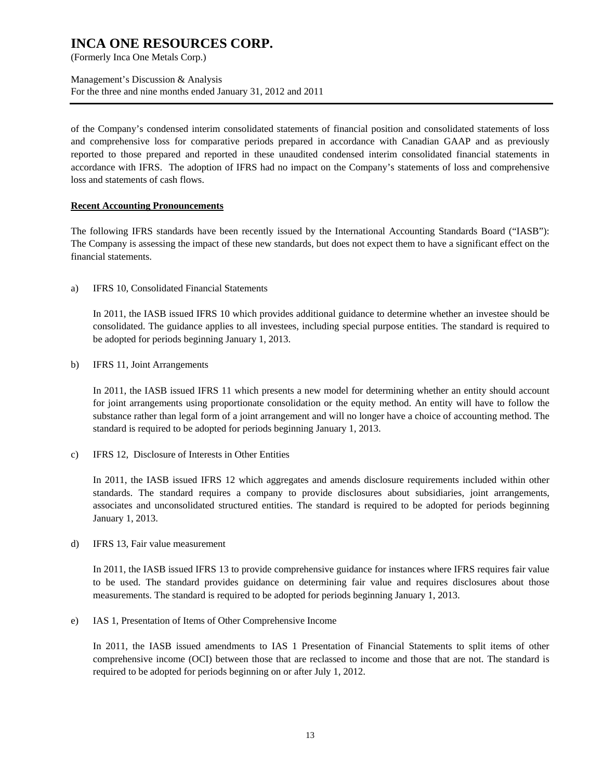(Formerly Inca One Metals Corp.)

Management's Discussion & Analysis For the three and nine months ended January 31, 2012 and 2011

of the Company's condensed interim consolidated statements of financial position and consolidated statements of loss and comprehensive loss for comparative periods prepared in accordance with Canadian GAAP and as previously reported to those prepared and reported in these unaudited condensed interim consolidated financial statements in accordance with IFRS. The adoption of IFRS had no impact on the Company's statements of loss and comprehensive loss and statements of cash flows.

### **Recent Accounting Pronouncements**

The following IFRS standards have been recently issued by the International Accounting Standards Board ("IASB"): The Company is assessing the impact of these new standards, but does not expect them to have a significant effect on the financial statements.

a) IFRS 10, Consolidated Financial Statements

In 2011, the IASB issued IFRS 10 which provides additional guidance to determine whether an investee should be consolidated. The guidance applies to all investees, including special purpose entities. The standard is required to be adopted for periods beginning January 1, 2013.

b) IFRS 11, Joint Arrangements

In 2011, the IASB issued IFRS 11 which presents a new model for determining whether an entity should account for joint arrangements using proportionate consolidation or the equity method. An entity will have to follow the substance rather than legal form of a joint arrangement and will no longer have a choice of accounting method. The standard is required to be adopted for periods beginning January 1, 2013.

c) IFRS 12, Disclosure of Interests in Other Entities

In 2011, the IASB issued IFRS 12 which aggregates and amends disclosure requirements included within other standards. The standard requires a company to provide disclosures about subsidiaries, joint arrangements, associates and unconsolidated structured entities. The standard is required to be adopted for periods beginning January 1, 2013.

d) IFRS 13, Fair value measurement

In 2011, the IASB issued IFRS 13 to provide comprehensive guidance for instances where IFRS requires fair value to be used. The standard provides guidance on determining fair value and requires disclosures about those measurements. The standard is required to be adopted for periods beginning January 1, 2013.

e) IAS 1, Presentation of Items of Other Comprehensive Income

In 2011, the IASB issued amendments to IAS 1 Presentation of Financial Statements to split items of other comprehensive income (OCI) between those that are reclassed to income and those that are not. The standard is required to be adopted for periods beginning on or after July 1, 2012.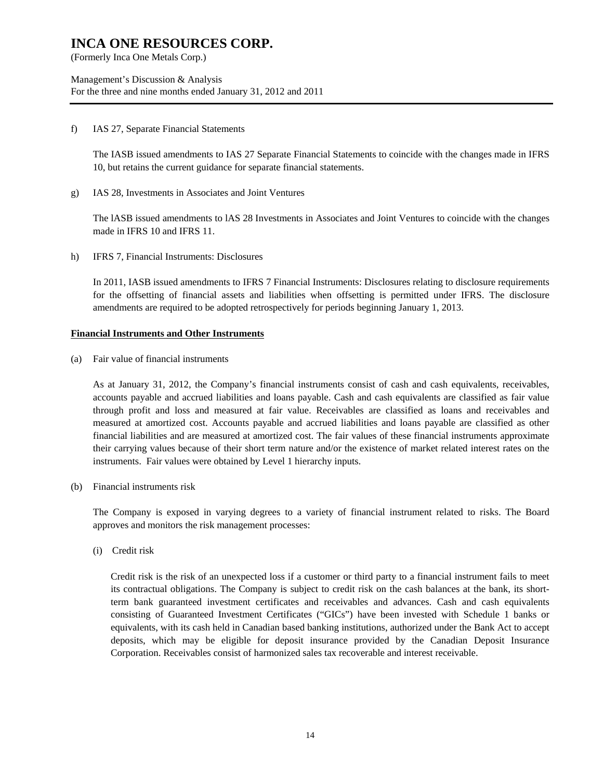(Formerly Inca One Metals Corp.)

Management's Discussion & Analysis For the three and nine months ended January 31, 2012 and 2011

### f) IAS 27, Separate Financial Statements

The IASB issued amendments to IAS 27 Separate Financial Statements to coincide with the changes made in IFRS 10, but retains the current guidance for separate financial statements.

g) IAS 28, Investments in Associates and Joint Ventures

The lASB issued amendments to lAS 28 Investments in Associates and Joint Ventures to coincide with the changes made in IFRS 10 and IFRS 11.

h) IFRS 7, Financial Instruments: Disclosures

In 2011, IASB issued amendments to IFRS 7 Financial Instruments: Disclosures relating to disclosure requirements for the offsetting of financial assets and liabilities when offsetting is permitted under IFRS. The disclosure amendments are required to be adopted retrospectively for periods beginning January 1, 2013.

#### **Financial Instruments and Other Instruments**

(a) Fair value of financial instruments

As at January 31, 2012, the Company's financial instruments consist of cash and cash equivalents, receivables, accounts payable and accrued liabilities and loans payable. Cash and cash equivalents are classified as fair value through profit and loss and measured at fair value. Receivables are classified as loans and receivables and measured at amortized cost. Accounts payable and accrued liabilities and loans payable are classified as other financial liabilities and are measured at amortized cost. The fair values of these financial instruments approximate their carrying values because of their short term nature and/or the existence of market related interest rates on the instruments. Fair values were obtained by Level 1 hierarchy inputs.

(b) Financial instruments risk

The Company is exposed in varying degrees to a variety of financial instrument related to risks. The Board approves and monitors the risk management processes:

(i) Credit risk

Credit risk is the risk of an unexpected loss if a customer or third party to a financial instrument fails to meet its contractual obligations. The Company is subject to credit risk on the cash balances at the bank, its shortterm bank guaranteed investment certificates and receivables and advances. Cash and cash equivalents consisting of Guaranteed Investment Certificates ("GICs") have been invested with Schedule 1 banks or equivalents, with its cash held in Canadian based banking institutions, authorized under the Bank Act to accept deposits, which may be eligible for deposit insurance provided by the Canadian Deposit Insurance Corporation. Receivables consist of harmonized sales tax recoverable and interest receivable.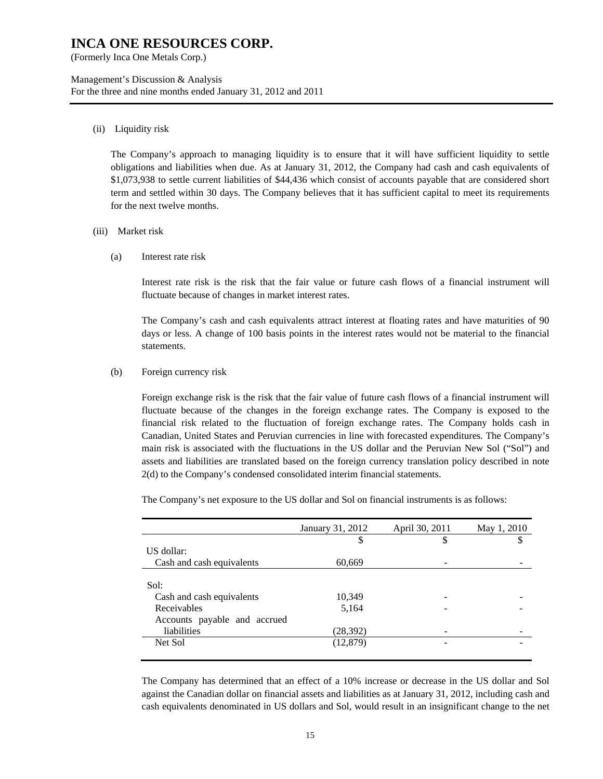(Formerly Inca One Metals Corp.)

### Management's Discussion & Analysis For the three and nine months ended January 31, 2012 and 2011

#### (ii) Liquidity risk

The Company's approach to managing liquidity is to ensure that it will have sufficient liquidity to settle obligations and liabilities when due. As at January 31, 2012, the Company had cash and cash equivalents of \$1,073,938 to settle current liabilities of \$44,436 which consist of accounts payable that are considered short term and settled within 30 days. The Company believes that it has sufficient capital to meet its requirements for the next twelve months.

#### (iii) Market risk

(a) Interest rate risk

Interest rate risk is the risk that the fair value or future cash flows of a financial instrument will fluctuate because of changes in market interest rates.

The Company's cash and cash equivalents attract interest at floating rates and have maturities of 90 days or less. A change of 100 basis points in the interest rates would not be material to the financial statements.

### (b) Foreign currency risk

Foreign exchange risk is the risk that the fair value of future cash flows of a financial instrument will fluctuate because of the changes in the foreign exchange rates. The Company is exposed to the financial risk related to the fluctuation of foreign exchange rates. The Company holds cash in Canadian, United States and Peruvian currencies in line with forecasted expenditures. The Company's main risk is associated with the fluctuations in the US dollar and the Peruvian New Sol ("Sol") and assets and liabilities are translated based on the foreign currency translation policy described in note 2(d) to the Company's condensed consolidated interim financial statements.

The Company's net exposure to the US dollar and Sol on financial instruments is as follows:

|                              | January 31, 2012 | April 30, 2011 | May 1, 2010 |
|------------------------------|------------------|----------------|-------------|
|                              | \$               | \$             | S           |
| US dollar:                   |                  |                |             |
| Cash and cash equivalents    | 60,669           |                |             |
|                              |                  |                |             |
| Sol:                         |                  |                |             |
| Cash and cash equivalents    | 10,349           |                |             |
| Receivables                  | 5,164            |                |             |
| Accounts payable and accrued |                  |                |             |
| liabilities                  | (28, 392)        |                |             |
| Net Sol                      | (12, 879)        | -              |             |
|                              |                  |                |             |

The Company has determined that an effect of a 10% increase or decrease in the US dollar and Sol against the Canadian dollar on financial assets and liabilities as at January 31, 2012, including cash and cash equivalents denominated in US dollars and Sol, would result in an insignificant change to the net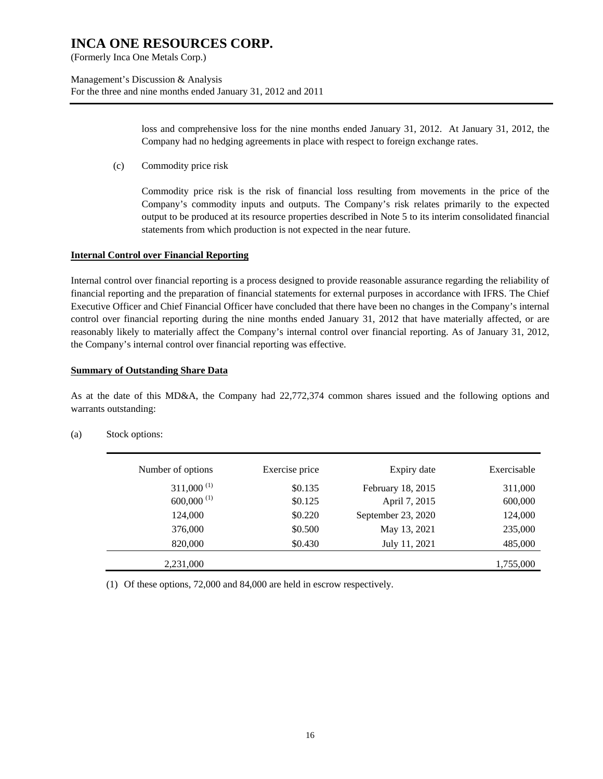(Formerly Inca One Metals Corp.)

Management's Discussion & Analysis For the three and nine months ended January 31, 2012 and 2011

> loss and comprehensive loss for the nine months ended January 31, 2012. At January 31, 2012, the Company had no hedging agreements in place with respect to foreign exchange rates.

(c) Commodity price risk

Commodity price risk is the risk of financial loss resulting from movements in the price of the Company's commodity inputs and outputs. The Company's risk relates primarily to the expected output to be produced at its resource properties described in Note 5 to its interim consolidated financial statements from which production is not expected in the near future.

#### **Internal Control over Financial Reporting**

Internal control over financial reporting is a process designed to provide reasonable assurance regarding the reliability of financial reporting and the preparation of financial statements for external purposes in accordance with IFRS. The Chief Executive Officer and Chief Financial Officer have concluded that there have been no changes in the Company's internal control over financial reporting during the nine months ended January 31, 2012 that have materially affected, or are reasonably likely to materially affect the Company's internal control over financial reporting. As of January 31, 2012, the Company's internal control over financial reporting was effective.

### **Summary of Outstanding Share Data**

As at the date of this MD&A, the Company had 22,772,374 common shares issued and the following options and warrants outstanding:

| Number of options        | Exercise price | Expiry date        | Exercisable |
|--------------------------|----------------|--------------------|-------------|
| $311,000^{(1)}$          | \$0.135        | February 18, 2015  | 311,000     |
| $600,000$ <sup>(1)</sup> | \$0.125        | April 7, 2015      | 600,000     |
| 124,000                  | \$0.220        | September 23, 2020 | 124,000     |
| 376,000                  | \$0.500        | May 13, 2021       | 235,000     |
| 820,000                  | \$0.430        | July 11, 2021      | 485,000     |
| 2,231,000                |                |                    | 1,755,000   |

(a) Stock options:

(1) Of these options, 72,000 and 84,000 are held in escrow respectively.